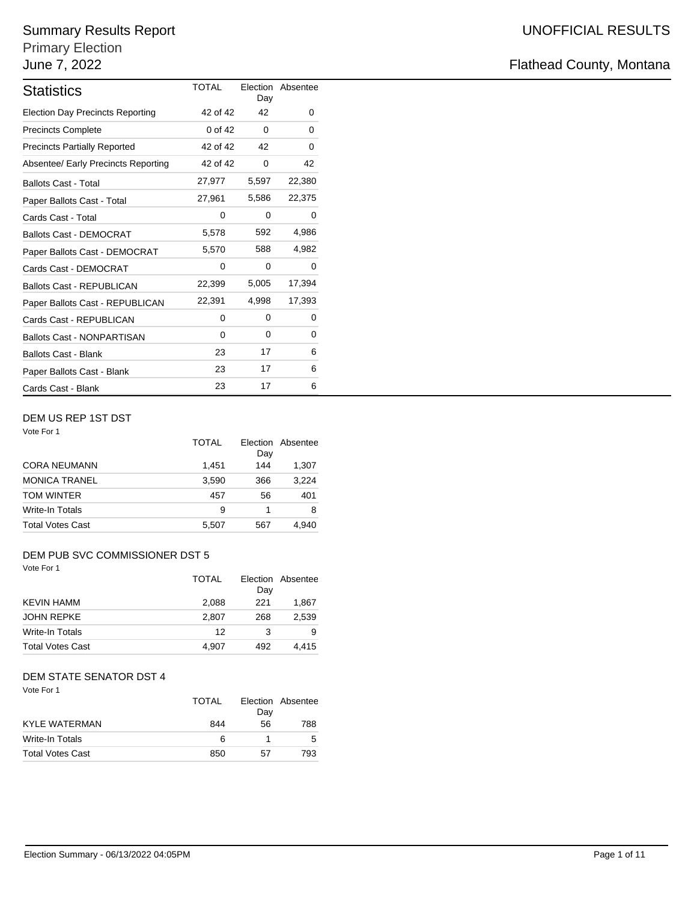# Summary Results Report **National State of Austine Contract Contract Contract Contract Contract Contract Contract Contract Contract Contract Contract Contract Contract Contract Contract Contract Contract Contract Contract C**

# Primary Election

| <b>Statistics</b>                       | <b>TOTAL</b> | Day   | Election Absentee |
|-----------------------------------------|--------------|-------|-------------------|
| <b>Election Day Precincts Reporting</b> | 42 of 42     | 42    | 0                 |
| <b>Precincts Complete</b>               | 0 of 42      | 0     | 0                 |
| <b>Precincts Partially Reported</b>     | 42 of 42     | 42    | 0                 |
| Absentee/ Early Precincts Reporting     | 42 of 42     | 0     | 42                |
| <b>Ballots Cast - Total</b>             | 27,977       | 5,597 | 22,380            |
| Paper Ballots Cast - Total              | 27,961       | 5,586 | 22,375            |
| Cards Cast - Total                      | 0            | 0     | 0                 |
| <b>Ballots Cast - DEMOCRAT</b>          | 5,578        | 592   | 4,986             |
| Paper Ballots Cast - DEMOCRAT           | 5,570        | 588   | 4,982             |
| Cards Cast - DEMOCRAT                   | 0            | 0     | 0                 |
| <b>Ballots Cast - REPUBLICAN</b>        | 22,399       | 5,005 | 17,394            |
| Paper Ballots Cast - REPUBLICAN         | 22,391       | 4,998 | 17,393            |
| Cards Cast - REPUBLICAN                 | $\Omega$     | 0     | 0                 |
| <b>Ballots Cast - NONPARTISAN</b>       | 0            | 0     | 0                 |
| <b>Ballots Cast - Blank</b>             | 23           | 17    | 6                 |
| Paper Ballots Cast - Blank              | 23           | 17    | 6                 |
| Cards Cast - Blank                      | 23           | 17    | 6                 |

## DEM US REP 1ST DST

| Vote For 1              |       |                        |          |
|-------------------------|-------|------------------------|----------|
|                         | TOTAL | <b>Election</b><br>Day | Absentee |
| <b>CORA NEUMANN</b>     | 1,451 | 144                    | 1,307    |
| <b>MONICA TRANEL</b>    | 3,590 | 366                    | 3,224    |
| <b>TOM WINTER</b>       | 457   | 56                     | 401      |
| <b>Write-In Totals</b>  | 9     | 1                      | 8        |
| <b>Total Votes Cast</b> | 5,507 | 567                    | 4.940    |

# DEM PUB SVC COMMISSIONER DST 5

| Vote For 1        |       |     |                   |
|-------------------|-------|-----|-------------------|
|                   | TOTAL |     | Election Absentee |
|                   |       | Day |                   |
| KEVIN HAMM        | 2.088 | 221 | 1.867             |
| <b>JOHN REPKE</b> | 2.807 | 268 | 2.539             |
| Write-In Totals   | 12    | 3   | 9                 |
| Total Votes Cast  | 4.907 | 492 | 4.415             |

# DEM STATE SENATOR DST 4

| Vote For 1              | <b>TOTAL</b> | Day | Election Absentee |
|-------------------------|--------------|-----|-------------------|
| <b>KYLE WATERMAN</b>    | 844          | 56  | 788               |
| <b>Write-In Totals</b>  | 6            | 1   |                   |
| <b>Total Votes Cast</b> | 850          | 57  | 793               |

# June 7, 2022 **Flathead County, Montana**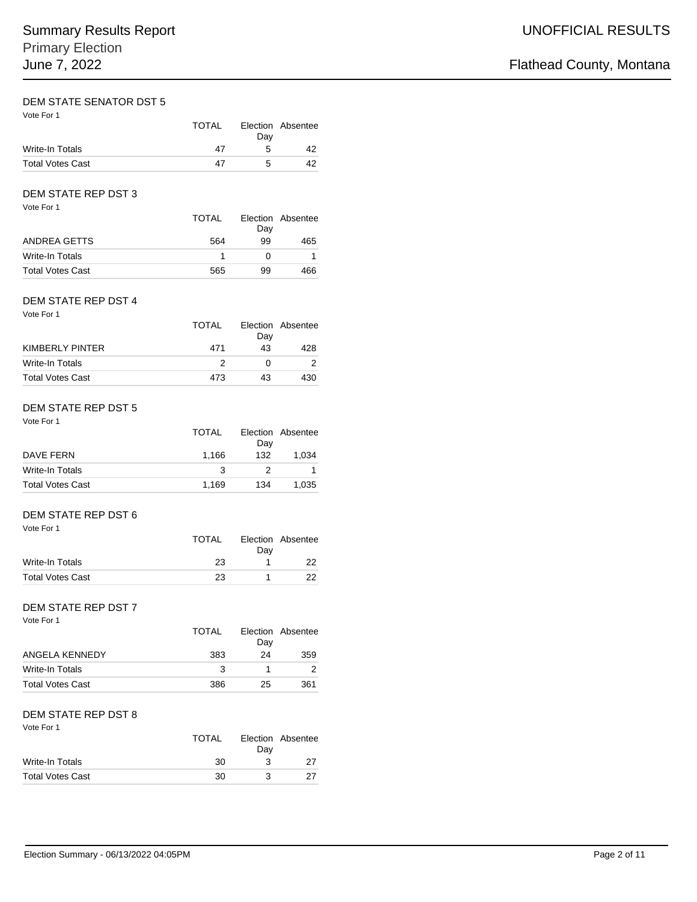# DEM STATE SENATOR DST 5

| Vote For 1              | <b>TOTAL</b> | Dav | Election Absentee |
|-------------------------|--------------|-----|-------------------|
| Write-In Totals         | 47           | 5   | 42                |
| <b>Total Votes Cast</b> | 47           | 5   | 42                |

# DEM STATE REP DST 3

| Vote For 1              | <b>TOTAL</b> | Day | Election Absentee |
|-------------------------|--------------|-----|-------------------|
| ANDREA GETTS            | 564          | 99  | 465               |
| Write-In Totals         |              |     |                   |
| <b>Total Votes Cast</b> | 565          | 99  | 466               |

### Vote For 1 DEM STATE REP DST 4

| Vote For 1              | TOTAL | Day | Election Absentee |
|-------------------------|-------|-----|-------------------|
| KIMBERLY PINTER         | 471   | 43  | 428               |
| Write-In Totals         | 2     |     |                   |
| <b>Total Votes Cast</b> | 473   | 43  | 430               |

# DEM STATE REP DST 5

Vote For 1

|                         | TOTAL |     | Election Absentee |
|-------------------------|-------|-----|-------------------|
|                         |       | Dav |                   |
| DAVE FERN               | 1.166 | 132 | 1.034             |
| Write-In Totals         | 3     | 2   |                   |
| <b>Total Votes Cast</b> | 1.169 | 134 | 1.035             |

# DEM STATE REP DST 6

| Vote For 1              | TOTAL | Dav | Election Absentee |
|-------------------------|-------|-----|-------------------|
| Write-In Totals         | 23    |     | 22.               |
| <b>Total Votes Cast</b> | 23    |     | 22.               |

## DEM STATE REP DST 7

| Vote For 1              | <b>TOTAL</b> | Day | Election Absentee |
|-------------------------|--------------|-----|-------------------|
| ANGELA KENNEDY          | 383          | 24  | 359               |
| Write-In Totals         | 3            |     |                   |
| <b>Total Votes Cast</b> | 386          | 25  | 361               |

### Vote For 1 DEM STATE REP DST 8

| VULE FUI I              | <b>TOTAL</b> | Dav | Election Absentee |
|-------------------------|--------------|-----|-------------------|
| Write-In Totals         | 30           | 2   |                   |
| <b>Total Votes Cast</b> | 30           | ર   |                   |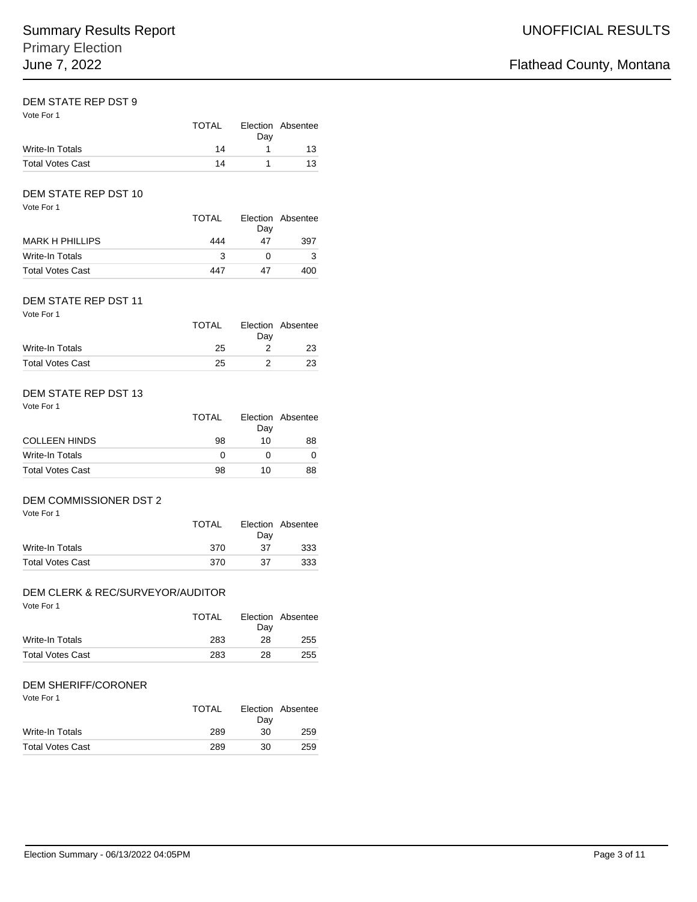# DEM STATE REP DST 9

| Vote For 1              | TOTAL | Dav | Election Absentee |
|-------------------------|-------|-----|-------------------|
| Write-In Totals         | 14    |     | 13                |
| <b>Total Votes Cast</b> | 14    | Ί.  | 13                |

# DEM STATE REP DST 10

| Vote For 1              | <b>TOTAL</b> | Day | Election Absentee |
|-------------------------|--------------|-----|-------------------|
| <b>MARK H PHILLIPS</b>  | 444          | 47  | 397               |
| Write-In Totals         | 3            |     |                   |
| <b>Total Votes Cast</b> | 447          | 47  | 400               |

### Vote For 1 DEM STATE REP DST 11

| VOLE FOI I              | <b>TOTAL</b> | Dav | Election Absentee |
|-------------------------|--------------|-----|-------------------|
| Write-In Totals         | 25           |     | 23                |
| <b>Total Votes Cast</b> | 25           |     | 23                |

### Vote For 1 DEM STATE REP DST 13

| $VUE + VI + I$          | TOTAL | Dav | Election Absentee |
|-------------------------|-------|-----|-------------------|
| <b>COLLEEN HINDS</b>    | 98    | 10  | 88                |
| Write-In Totals         | O     |     |                   |
| <b>Total Votes Cast</b> | 98    | 10  | 88                |

## DEM COMMISSIONER DST 2

Vote For 1

|                         | <b>TOTAL</b> | Dav | Election Absentee |
|-------------------------|--------------|-----|-------------------|
| Write-In Totals         | 370          | 37  | 333               |
| <b>Total Votes Cast</b> | 370          | 37  | 333               |

## DEM CLERK & REC/SURVEYOR/AUDITOR

Vote For 1

|                         | <b>TOTAL</b> | Dav | Election Absentee |
|-------------------------|--------------|-----|-------------------|
| Write-In Totals         | 283          | 28  | 255               |
| <b>Total Votes Cast</b> | 283          | 28  | 255               |

# DEM SHERIFF/CORONER

|                         | <b>TOTAL</b> | Dav | Election Absentee |
|-------------------------|--------------|-----|-------------------|
| Write-In Totals         | 289          | 30  | 259               |
| <b>Total Votes Cast</b> | 289          | 30  | 259               |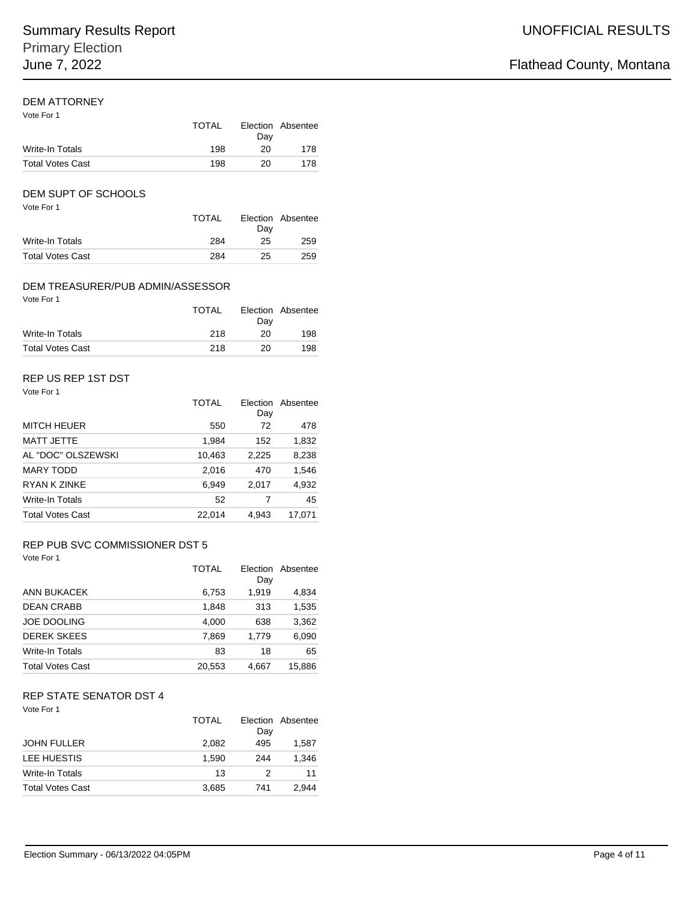# DEM ATTORNEY

| Vote For 1              | TOTAL | Dav | Election Absentee |
|-------------------------|-------|-----|-------------------|
| Write-In Totals         | 198   | 20  | 178               |
| <b>Total Votes Cast</b> | 198   | 20  | 178               |

# DEM SUPT OF SCHOOLS

| Vote For 1              | TOTAL | Dav | Election Absentee |
|-------------------------|-------|-----|-------------------|
| Write-In Totals         | 284   | 25  | 259               |
| <b>Total Votes Cast</b> | 284   | 25  | 259               |

## DEM TREASURER/PUB ADMIN/ASSESSOR

| Vote For 1              | TOTAL | Dav | Election Absentee |
|-------------------------|-------|-----|-------------------|
| Write-In Totals         | 218   | 20  | 198               |
| <b>Total Votes Cast</b> | 218   | 20  | 198               |

# REP US REP 1ST DST

| Vote For 1              |              |       |                   |
|-------------------------|--------------|-------|-------------------|
|                         | <b>TOTAL</b> | Day   | Election Absentee |
| <b>MITCH HEUER</b>      | 550          | 72    | 478               |
| <b>MATT JETTE</b>       | 1,984        | 152   | 1,832             |
| AL "DOC" OLSZEWSKI      | 10,463       | 2,225 | 8,238             |
| <b>MARY TODD</b>        | 2,016        | 470   | 1,546             |
| RYAN K ZINKE            | 6,949        | 2,017 | 4,932             |
| Write-In Totals         | 52           | 7     | 45                |
| <b>Total Votes Cast</b> | 22.014       | 4.943 | 17.071            |

# REP PUB SVC COMMISSIONER DST 5

| Vote For 1              |              |       |                   |
|-------------------------|--------------|-------|-------------------|
|                         | <b>TOTAL</b> | Dav   | Election Absentee |
| ANN BUKACEK             | 6,753        | 1,919 | 4,834             |
| <b>DEAN CRABB</b>       | 1,848        | 313   | 1,535             |
| <b>JOE DOOLING</b>      | 4,000        | 638   | 3,362             |
| <b>DEREK SKEES</b>      | 7.869        | 1.779 | 6,090             |
| Write-In Totals         | 83           | 18    | 65                |
| <b>Total Votes Cast</b> | 20,553       | 4,667 | 15,886            |

# REP STATE SENATOR DST 4

| Vote For 1              | <b>TOTAL</b> | Day | Election Absentee |
|-------------------------|--------------|-----|-------------------|
| <b>JOHN FULLER</b>      | 2.082        | 495 | 1.587             |
| LEE HUESTIS             | 1.590        | 244 | 1.346             |
| Write-In Totals         | 13           | 2   | 11                |
| <b>Total Votes Cast</b> | 3,685        | 741 | 2.944             |
|                         |              |     |                   |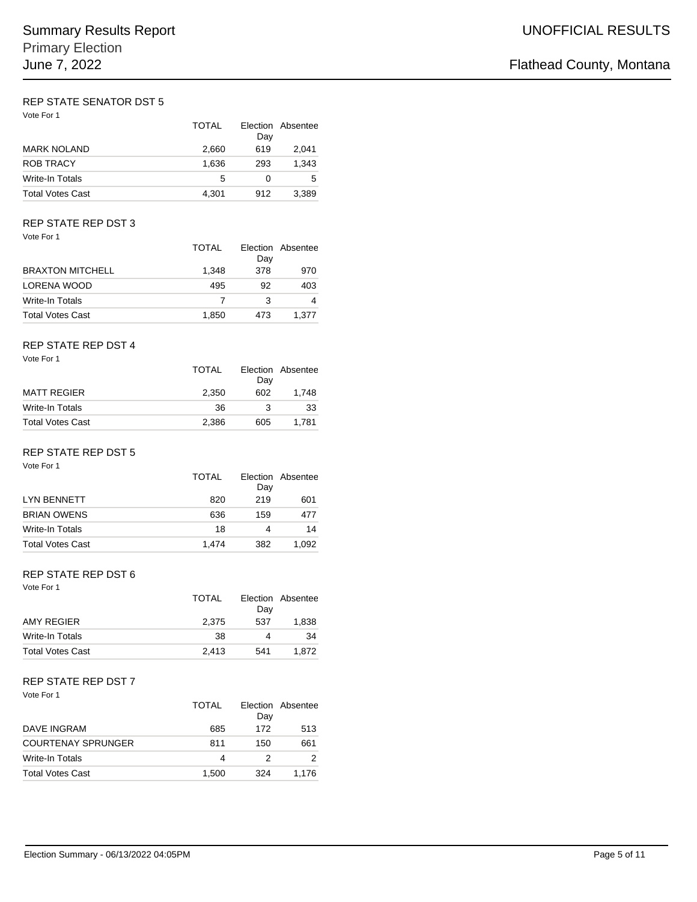### Vote For 1 REP STATE SENATOR DST 5

| Vote For 1              | <b>TOTAL</b> | Day | Election Absentee |
|-------------------------|--------------|-----|-------------------|
| <b>MARK NOLAND</b>      | 2,660        | 619 | 2.041             |
| <b>ROB TRACY</b>        | 1,636        | 293 | 1.343             |
| Write-In Totals         | 5            | 0   | 5                 |
| <b>Total Votes Cast</b> | 4,301        | 912 | 3.389             |

## REP STATE REP DST 3

| Vote For 1 |  |
|------------|--|
|            |  |

| , , , , , , , , ,       | <b>TOTAL</b> | Dav | Election Absentee |
|-------------------------|--------------|-----|-------------------|
| <b>BRAXTON MITCHELL</b> | 1.348        | 378 | 970               |
| LORENA WOOD             | 495          | 92  | 403               |
| Write-In Totals         |              | 3   |                   |
| <b>Total Votes Cast</b> | 1,850        | 473 | 1.377             |

### Vote For 1 REP STATE REP DST 4

|                         | TOTAL | Dav | Election Absentee |
|-------------------------|-------|-----|-------------------|
| <b>MATT REGIER</b>      | 2.350 | 602 | 1.748             |
| Write-In Totals         | 36    | 3   | 33                |
| <b>Total Votes Cast</b> | 2.386 | 605 | 1.781             |

# REP STATE REP DST 5

| Vote For 1 |  |
|------------|--|
|------------|--|

|                         | TOTAL | Day | Election Absentee |
|-------------------------|-------|-----|-------------------|
| <b>LYN BENNETT</b>      | 820   | 219 | 601               |
| <b>BRIAN OWENS</b>      | 636   | 159 | 477               |
| <b>Write-In Totals</b>  | 18    | 4   | 14                |
| <b>Total Votes Cast</b> | 1.474 | 382 | 1.092             |

### REP STATE REP DST 6

Vote For 1

|                         | <b>TOTAL</b> | Day | Election Absentee |
|-------------------------|--------------|-----|-------------------|
| AMY REGIER              | 2.375        | 537 | 1.838             |
| Write-In Totals         | 38           |     | 34                |
| <b>Total Votes Cast</b> | 2.413        | 541 | 1.872             |

# REP STATE REP DST 7

| Vote For 1                | TOTAL | Dav | Election Absentee |
|---------------------------|-------|-----|-------------------|
| DAVE INGRAM               | 685   | 172 | 513               |
| <b>COURTENAY SPRUNGER</b> | 811   | 150 | 661               |
| <b>Write-In Totals</b>    | 4     | 2   | 2                 |
| <b>Total Votes Cast</b>   | 1,500 | 324 | 1.176             |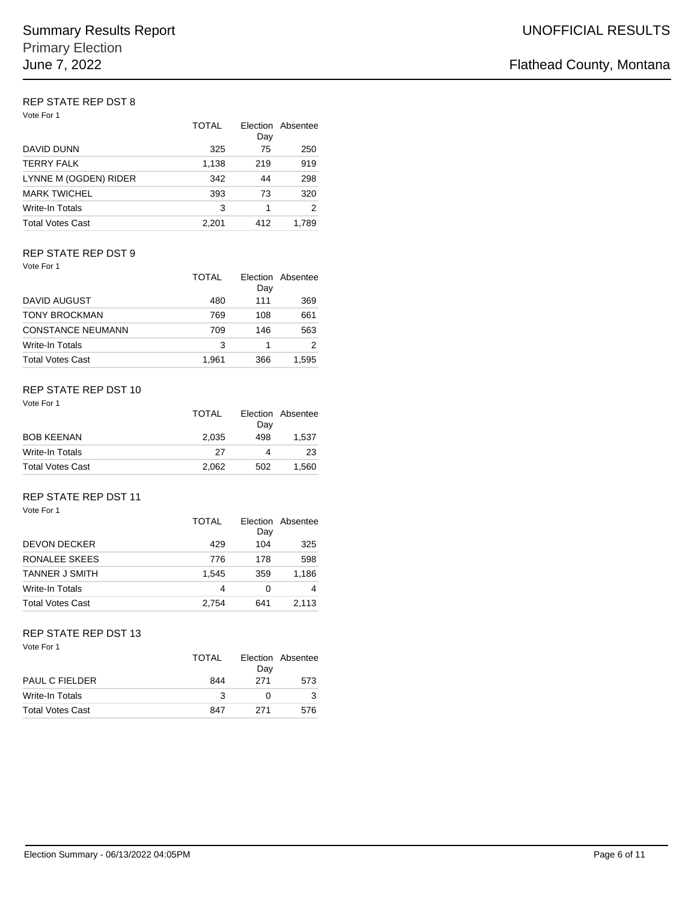### Vote For 1 REP STATE REP DST 8

| VOLE FOR 1              | <b>TOTAL</b> | Day | Election Absentee |
|-------------------------|--------------|-----|-------------------|
| DAVID DUNN              | 325          | 75  | 250               |
| <b>TERRY FALK</b>       | 1,138        | 219 | 919               |
| LYNNE M (OGDEN) RIDER   | 342          | 44  | 298               |
| <b>MARK TWICHEL</b>     | 393          | 73  | 320               |
| Write-In Totals         | 3            | 1   | 2                 |
| <b>Total Votes Cast</b> | 2,201        | 412 | 1.789             |

## REP STATE REP DST 9

Vote For 1

|                          | TOTAI | Election<br>Day | Absentee |
|--------------------------|-------|-----------------|----------|
| DAVID AUGUST             | 480   | 111             | 369      |
| <b>TONY BROCKMAN</b>     | 769   | 108             | 661      |
| <b>CONSTANCE NEUMANN</b> | 709   | 146             | 563      |
| <b>Write-In Totals</b>   | 3     | 1               |          |
| <b>Total Votes Cast</b>  | 1.961 | 366             | 1.595    |

# REP STATE REP DST 10

Vote For 1

|                         | <b>TOTAL</b> | Dav | Election Absentee |
|-------------------------|--------------|-----|-------------------|
| <b>BOB KEENAN</b>       | 2.035        | 498 | 1.537             |
| Write-In Totals         | 27           | 4   | 23                |
| <b>Total Votes Cast</b> | 2.062        | 502 | 1.560             |

### Vote For 1 REP STATE REP DST 11

| <u>V WILLET WILL T</u>  | <b>TOTAL</b> | Day | Election Absentee |
|-------------------------|--------------|-----|-------------------|
| <b>DEVON DECKER</b>     | 429          | 104 | 325               |
| RONALEE SKEES           | 776          | 178 | 598               |
| <b>TANNER J SMITH</b>   | 1.545        | 359 | 1.186             |
| Write-In Totals         | 4            | 0   | 4                 |
| <b>Total Votes Cast</b> | 2.754        | 641 | 2.113             |

# REP STATE REP DST 13

|                         | TOTAL | Dav | Election Absentee |
|-------------------------|-------|-----|-------------------|
| <b>PAUL C FIELDER</b>   | 844   | 271 | 573               |
| Write-In Totals         | -3    |     |                   |
| <b>Total Votes Cast</b> | 847   | 271 | 576               |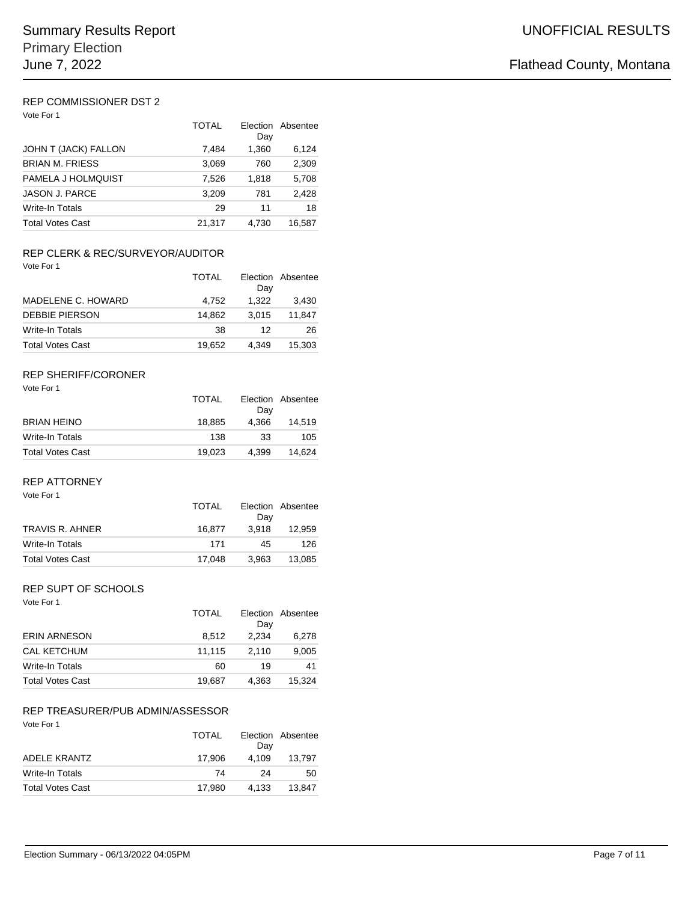### Vote For 1 REP COMMISSIONER DST 2

| Vote For 1              | <b>TOTAL</b> | Election<br>Day | Absentee |
|-------------------------|--------------|-----------------|----------|
| JOHN T (JACK) FALLON    | 7,484        | 1,360           | 6,124    |
| <b>BRIAN M. FRIESS</b>  | 3,069        | 760             | 2,309    |
| PAMELA J HOLMQUIST      | 7,526        | 1.818           | 5,708    |
| <b>JASON J. PARCE</b>   | 3,209        | 781             | 2,428    |
| Write-In Totals         | 29           | 11              | 18       |
| <b>Total Votes Cast</b> | 21,317       | 4.730           | 16.587   |

# REP CLERK & REC/SURVEYOR/AUDITOR

Vote For 1

|                         | TOTAI  | Day   | Election Absentee |
|-------------------------|--------|-------|-------------------|
| MADELENE C. HOWARD      | 4.752  | 1.322 | 3,430             |
| <b>DEBBIE PIERSON</b>   | 14.862 | 3.015 | 11.847            |
| Write-In Totals         | 38     | 12    | 26                |
| <b>Total Votes Cast</b> | 19.652 | 4.349 | 15.303            |

## REP SHERIFF/CORONER

| Vote For 1              | <b>TOTAL</b> | Dav   | Election Absentee |
|-------------------------|--------------|-------|-------------------|
| <b>BRIAN HEINO</b>      | 18.885       | 4.366 | 14.519            |
| Write-In Totals         | 138          | 33    | 105               |
| <b>Total Votes Cast</b> | 19.023       | 4,399 | 14.624            |

# REP ATTORNEY

Vote For 1

|                         | <b>TOTAL</b> |       | Election Absentee |
|-------------------------|--------------|-------|-------------------|
|                         |              | Dav   |                   |
| TRAVIS R. AHNER         | 16.877       | 3.918 | 12.959            |
| Write-In Totals         | 171          | 45    | 126               |
| <b>Total Votes Cast</b> | 17.048       | 3.963 | 13.085            |

# REP SUPT OF SCHOOLS

| Vote For 1              |              |       |                   |
|-------------------------|--------------|-------|-------------------|
|                         | <b>TOTAL</b> |       | Election Absentee |
|                         |              | Day   |                   |
| <b>ERIN ARNESON</b>     | 8.512        | 2.234 | 6,278             |
| <b>CAL KETCHUM</b>      | 11,115       | 2.110 | 9,005             |
| <b>Write-In Totals</b>  | 60           | 19    | 41                |
| <b>Total Votes Cast</b> | 19.687       | 4.363 | 15.324            |

# REP TREASURER/PUB ADMIN/ASSESSOR

|                         | <b>TOTAL</b> | Dav   | Election Absentee |
|-------------------------|--------------|-------|-------------------|
| <b>ADELE KRANTZ</b>     | 17.906       | 4.109 | 13.797            |
| Write-In Totals         | 74           | 24    | 50                |
| <b>Total Votes Cast</b> | 17.980       | 4.133 | 13.847            |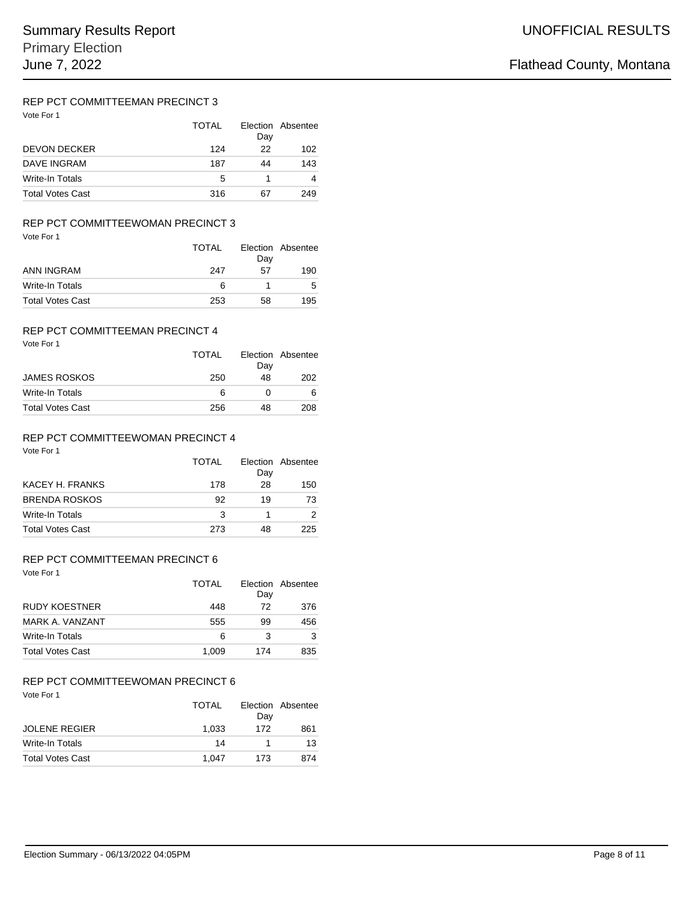# REP PCT COMMITTEEMAN PRECINCT 3

| Vote For 1              | TOTAL | Day | Election Absentee |
|-------------------------|-------|-----|-------------------|
| <b>DEVON DECKER</b>     | 124   | 22  | 102               |
| DAVE INGRAM             | 187   | 44  | 143               |
| Write-In Totals         | 5     |     |                   |
| <b>Total Votes Cast</b> | 316   | 67  | 249               |

## REP PCT COMMITTEEWOMAN PRECINCT 3

| Vote For 1              | TOTAL | Day | Election Absentee |
|-------------------------|-------|-----|-------------------|
| ANN INGRAM              | 247   | 57  | 190               |
| Write-In Totals         | 6     | 1   | 5                 |
| <b>Total Votes Cast</b> | 253   | 58  | 195               |

# REP PCT COMMITTEEMAN PRECINCT 4

|                         | TOTAL | Day | Election Absentee |
|-------------------------|-------|-----|-------------------|
| <b>JAMES ROSKOS</b>     | 250   | 48  | 202               |
| Write-In Totals         | 6     |     |                   |
| <b>Total Votes Cast</b> | 256   | 48  | 208               |

### Vote For 1 REP PCT COMMITTEEWOMAN PRECINCT 4

| TOTAL | Day | Election Absentee |
|-------|-----|-------------------|
| 178   | 28  | 150               |
| 92    | 19  | 73                |
| 3     |     |                   |
| 273   | 48  | 225               |
|       |     |                   |

# REP PCT COMMITTEEMAN PRECINCT 6

Vote For 1

|                         | <b>TOTAL</b> | Day | Election Absentee |
|-------------------------|--------------|-----|-------------------|
| <b>RUDY KOESTNER</b>    | 448          | 72  | 376               |
| MARK A. VANZANT         | 555          | 99  | 456               |
| Write-In Totals         | 6            | 3   |                   |
| <b>Total Votes Cast</b> | 1.009        | 174 | 835               |

# REP PCT COMMITTEEWOMAN PRECINCT 6

| Vote For 1              |       |     |                   |
|-------------------------|-------|-----|-------------------|
|                         | TOTAL | Dav | Election Absentee |
| <b>JOLENE REGIER</b>    | 1.033 | 172 | 861               |
| Write-In Totals         | 14    |     | 13                |
| <b>Total Votes Cast</b> | 1.047 | 173 | 874               |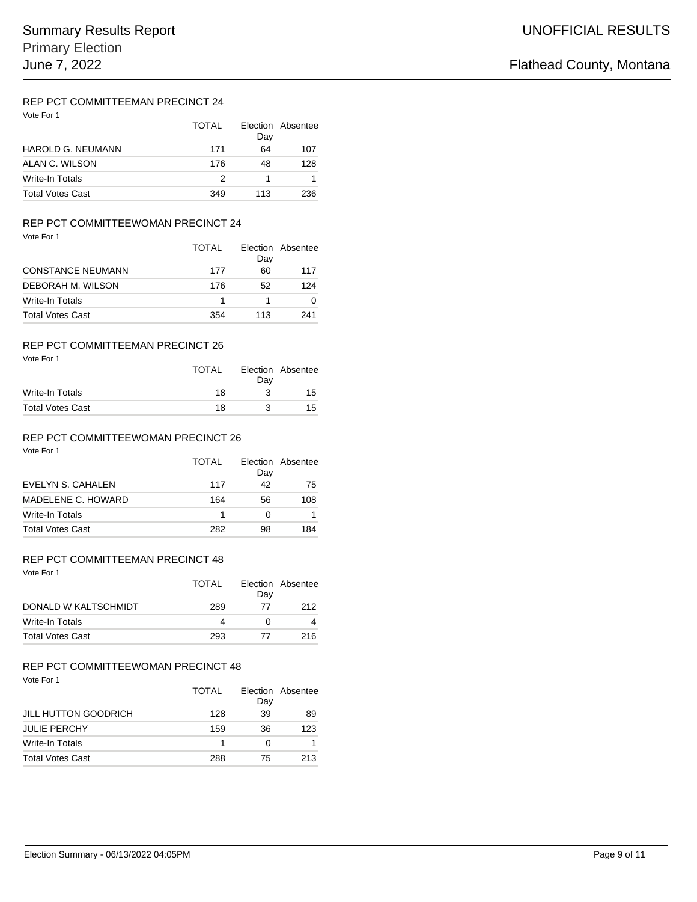# REP PCT COMMITTEEMAN PRECINCT 24

| Vote For 1               | TOTAI | Day | Election Absentee |
|--------------------------|-------|-----|-------------------|
| <b>HAROLD G. NEUMANN</b> | 171   | 64  | 107               |
| ALAN C. WILSON           | 176   | 48  | 128               |
| Write-In Totals          | 2     |     |                   |
| <b>Total Votes Cast</b>  | 349   | 113 | 236               |

### REP PCT COMMITTEEWOMAN PRECINCT 24

|                          | TOTAI | Day | Election Absentee |
|--------------------------|-------|-----|-------------------|
| <b>CONSTANCE NEUMANN</b> | 177   | 60  | 117               |
| DEBORAH M. WILSON        | 176   | 52  | 124               |
| <b>Write-In Totals</b>   |       |     |                   |
| <b>Total Votes Cast</b>  | 354   | 113 | 241               |

# REP PCT COMMITTEEMAN PRECINCT 26

| Vote For 1              | <b>TOTAL</b> | Dav | Election Absentee |
|-------------------------|--------------|-----|-------------------|
| Write-In Totals         | 18           | 3   | 15                |
| <b>Total Votes Cast</b> | 18           | 3   | 15.               |

### Vote For 1 REP PCT COMMITTEEWOMAN PRECINCT 26

| TOTAL | Day | Election Absentee |
|-------|-----|-------------------|
| 117   | 42  | 75                |
| 164   | 56  | 108               |
|       |     |                   |
| 282   | 98  | 184               |
|       |     |                   |

# REP PCT COMMITTEEMAN PRECINCT 48

Vote For 1

|                         | TOTAL | Dav | Election Absentee |
|-------------------------|-------|-----|-------------------|
| DONALD W KALTSCHMIDT    | 289   | 77  | 212               |
| Write-In Totals         | 4     |     |                   |
| <b>Total Votes Cast</b> | 293   | 77  | 216               |

# REP PCT COMMITTEEWOMAN PRECINCT 48

|                             | TOTAL | Day | Election Absentee |
|-----------------------------|-------|-----|-------------------|
| <b>JILL HUTTON GOODRICH</b> | 128   | 39  | 89                |
| <b>JULIE PERCHY</b>         | 159   | 36  | 123               |
| Write-In Totals             |       |     |                   |
| <b>Total Votes Cast</b>     | 288   | 75  | 213               |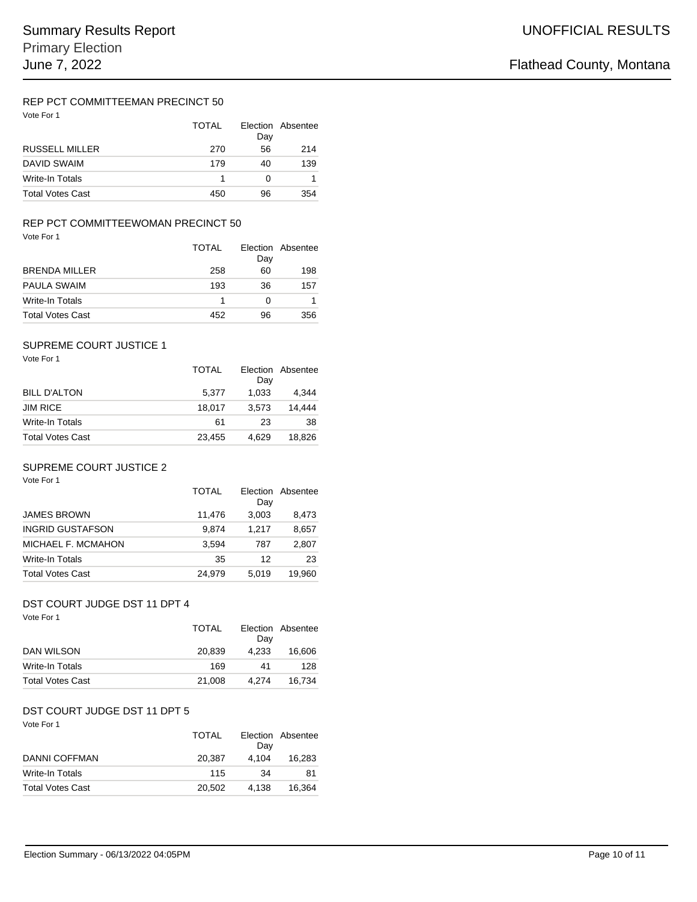# REP PCT COMMITTEEMAN PRECINCT 50

| Vote For 1              | TOTAI | Day | Election Absentee |
|-------------------------|-------|-----|-------------------|
| <b>RUSSELL MILLER</b>   | 270   | 56  | 214               |
| DAVID SWAIM             | 179   | 40  | 139               |
| Write-In Totals         |       | O   |                   |
| <b>Total Votes Cast</b> | 450   | 96  | 354               |

## REP PCT COMMITTEEWOMAN PRECINCT 50

| Vote For 1              |              |     |                   |
|-------------------------|--------------|-----|-------------------|
|                         | <b>TOTAL</b> | Day | Election Absentee |
| <b>BRENDA MILLER</b>    | 258          | 60  | 198               |
| <b>PAULA SWAIM</b>      | 193          | 36  | 157               |
| Write-In Totals         | 1            | 0   |                   |
| <b>Total Votes Cast</b> | 452          | 96  | 356               |

### Vote For 1 SUPREME COURT JUSTICE 1

|                         | <b>TOTAL</b> | Dav   | Election Absentee |
|-------------------------|--------------|-------|-------------------|
| <b>BILL D'ALTON</b>     | 5.377        | 1,033 | 4.344             |
| <b>JIM RICE</b>         | 18.017       | 3.573 | 14.444            |
| Write-In Totals         | 61           | 23    | 38                |
| <b>Total Votes Cast</b> | 23.455       | 4.629 | 18.826            |

## SUPREME COURT JUSTICE 2

| Vote For 1              | TOTAL  | <b>Flection</b><br>Day | Absentee |
|-------------------------|--------|------------------------|----------|
| <b>JAMES BROWN</b>      | 11,476 | 3,003                  | 8,473    |
| <b>INGRID GUSTAFSON</b> | 9,874  | 1.217                  | 8,657    |
| MICHAEL F. MCMAHON      | 3.594  | 787                    | 2,807    |
| Write-In Totals         | 35     | 12                     | 23       |
| <b>Total Votes Cast</b> | 24.979 | 5.019                  | 19.960   |

# DST COURT JUDGE DST 11 DPT 4

| Vote For 1              | TOTAL  | Day   | Election Absentee |
|-------------------------|--------|-------|-------------------|
| DAN WILSON              | 20.839 | 4.233 | 16,606            |
| Write-In Totals         | 169    | 41    | 128               |
| <b>Total Votes Cast</b> | 21,008 | 4.274 | 16.734            |

# DST COURT JUDGE DST 11 DPT 5

| Vote For 1              | <b>TOTAL</b> | Dav   | Election Absentee |
|-------------------------|--------------|-------|-------------------|
| DANNI COFFMAN           | 20.387       | 4.104 | 16.283            |
| Write-In Totals         | 115          | 34    | 81                |
| <b>Total Votes Cast</b> | 20,502       | 4.138 | 16.364            |